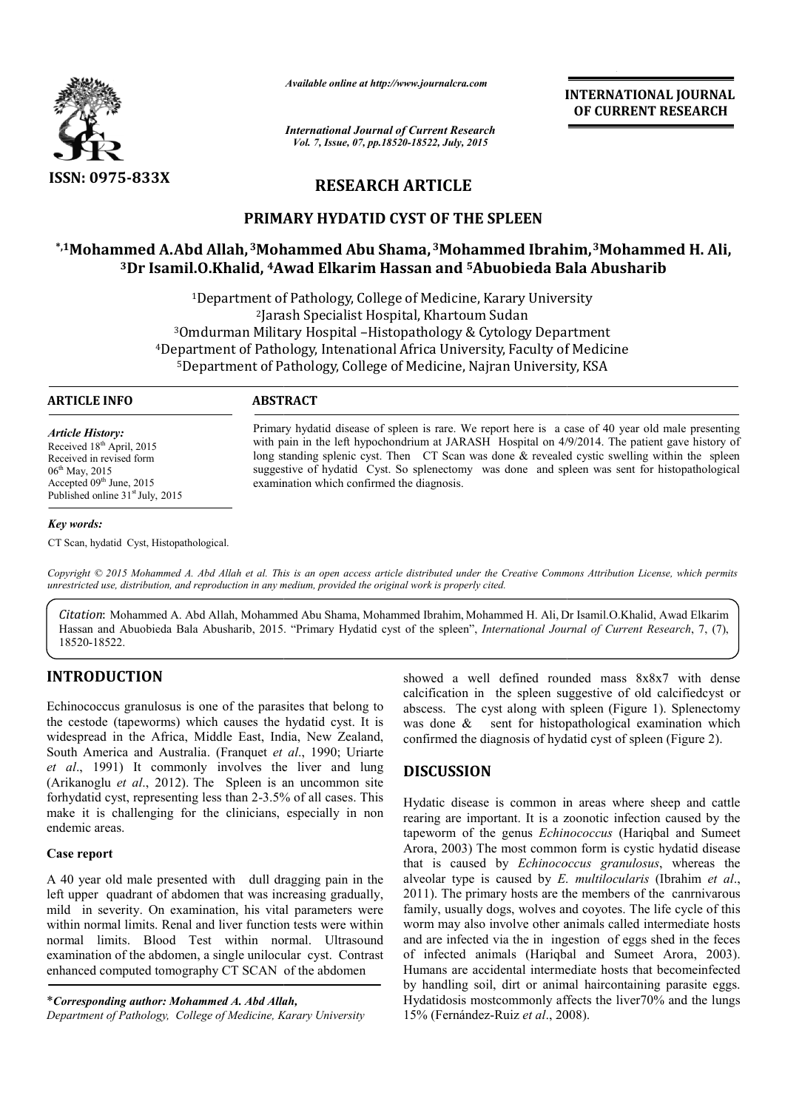

*Available online at http://www.journalcra.com*

*International Journal of Current Research Vol. 7, Issue, 07, pp.18520-18522, July, 2015*

**INTERNATIONAL INTERNATIONAL JOURNAL OF CURRENT RESEARCH** 

# **RESEARCH ARTICLE**

## **PRIMARY HYDATID CYST OF THE SPLEEN**

## **\*,1Mohammed A.Abd Allah, 3Mohammed Abu Shama, Mohammed 3Mohammed Ibrahim, Mohammed Ibrahim,3Mohammed H. Ali, 3Dr Isamil.O.Khalid, 4Awad Elkarim Hassan and Awad 5Abuobieda Bala Abusharib Abuobieda**

<sup>1</sup>Department of Pathology, College of Medicine, Karary University 2Jarash Specialist Hospital, Khartoum Sudan <sup>2</sup>Jarash Specialist Hospital, Khartoum Sudan<sup>3</sup>Omdurman Military Hospital –Histopathology & Cytology Department <sup>3</sup>Omdurman Military Hospital –Histopathology & Cytology Department<br><sup>4</sup>Department of Pathology, Intenational Africa University, Faculty of Medicine 5Department of Pathology, College of Medicine, Najran University, KSA Department

#### **ARTICLE INFO ABSTRACT**

*Article History:* Received 18<sup>th</sup> April, 2015 Received in revised form 06<sup>th</sup> May, 2015 Accepted 09<sup>th</sup> June, 2015 Published online 31<sup>st</sup> July, 2015

#### *Key words:*

CT Scan, hydatid Cyst, Histopathological.

long standing splenic cyst. Then CT Scan was done & revealed cystic swelling within the spleen suggestive of hydatid Cyst. So splenectomy was done and spleen was sent for histopathological examination which confirmed the diagnosis. Primary hydatid disease of spleen is rare. We report here is a case of 40 year old male presenting<br>with pain in the left hypochondrium at JARASH Hospital on 4/9/2014. The patient gave history of<br>long standing splenic cyst.

Primary hydatid disease of spleen is rare. We report here is a case of 40 year old male presenting with pain in the left hypochondrium at JARASH Hospital on  $4/9/2014$ . The patient gave history of

Copyright © 2015 Mohammed A. Abd Allah et al. This is an open access article distributed under the Creative Commons Attribution License, which permits *unrestricted use, distribution, and reproduction in any medium, provided the original work is properly cited.*

*Citation*: Mohammed A. Abd Allah, Mohammed Abu Shama, Mohammed Ibrahim, Mohammed H. Ali, Dr Isamil.O.Khalid, Awad Elkarim Hassan and Abuobieda Bala Abusharib, 2015. "Primary Hydatid cyst of the spleen", *International Journal of Current Research*, 7, (7), 18520-18522.

## **INTRODUCTION**

Echinococcus granulosus is one of the parasites that belong to the cestode (tapeworms) which causes the hydatid cyst. It is widespread in the Africa, Middle East, India, New Zealand, South America and Australia. (Franquet et al., 1990; Uriarte *et al*., 1991) It commonly involves the liver and lung (Arikanoglu *et al*., 2012). The Spleen is an uncommon site forhydatid cyst, representing less than 2-3.5% of all cases. This make it is challenging for the clinicians, especially in non endemic areas. 3.5% of all cases. This<br>inns, especially in non<br>ll dragging pain in the<br>s increasing gradually,

### **Case report**

A 40 year old male presented with dull dragging pain in the left upper quadrant of abdomen that was increasing gradually, mild in severity. On examination, his vital parameters were within normal limits. Renal and liver function tests were within normal limits. Blood Test within normal. Ultrasound examination of the abdomen, a single unilocular cyst. Contrast enhanced computed tomography CT SCAN of the abdomen

\**Corresponding author: Mohammed A. Abd Allah,*

*Department of Pathology, College of Medicine, Karary University*

calcification in the spleen suggestive of old calcifiedcyst or abscess. The cyst along with spleen (Figure 1). Splenectomy was done  $\&$  sent for histopathological examination which confirmed the diagnosis of hydatid cyst of spleen (Figure 2). well defined rounded mass 8x8x7 with dense<br>n in the spleen suggestive of old calcifiedcyst or<br>The cyst along with spleen (Figure 1). Splenectomy<br>& sent for histopathological examination which

## **DISCUSSION**

showed a well defined rounded mass 8x8x7 with dense<br>calcitration in the splease usges<br>tive of old calcitredcyst or<br>the hydaid cyst. It is was done & sent for histopathological examination which<br> $x_1$  India, New Zealand, co Hydatic disease is common in areas where sheep and cattle rearing are important. It is a zoonotic infection caused by the tapeworm of the genus *Echinococcus*  Arora, 2003) The most common form is cystic hydatid disease Arora, 2003) The most common form is cystic hydatid disease that is caused by *Echinococcus granulosus*, whereas the alveolar type is caused by *E. multilocularis*  (Ibrahim *et al*., 2011). The primary hosts are the members of the canrnivarous family, usually dogs, wolves and coyotes. The life cycle of this worm may also involve other animals called intermediate hosts and are infected via the in ingestion of eggs shed in the feces of infected animals (Hariqbal and Sumeet Arora, 2003 Humans are accidental intermediate hosts that becomeinfected by handling soil, dirt or animal haircontaining parasite eggs. Hydatidosis mostcommonly affects the liver70% and the lungs 15% (Fernández-Ruiz *et al*., 2008 So of hydatid cyst of spleen (Figure 2).<br>
In mon in areas where sheep and cattle<br>
It is a zoonotic infection caused by the<br>
It *Echinococcus* (Hariqbal and Sumeet 1). The primary hosts are the members of the canrnivarous ly, usually dogs, wolves and coyotes. The life cycle of this m may also involve other animals called intermediate hosts are infected via the in ingestion of eggs sh accidental intermediate hosts that be soil, dirt or animal haircontaining mostcommonly affects the liver70% dez-Ruiz *et al.*, 2008).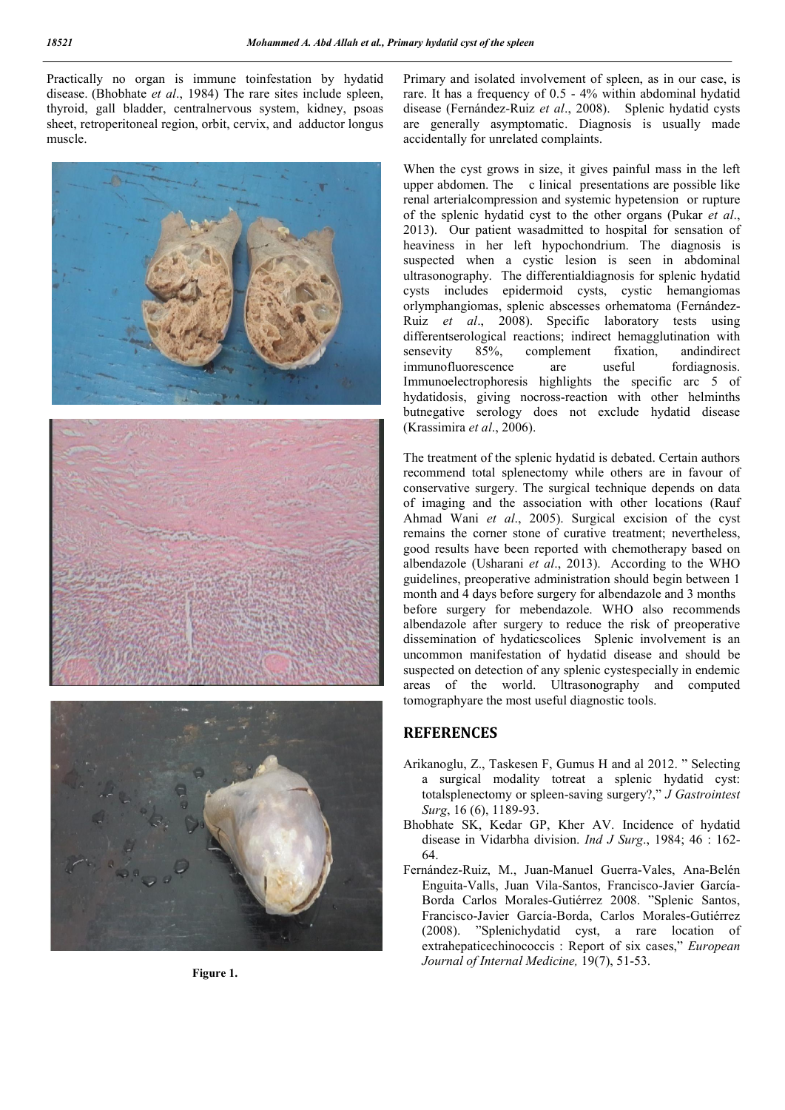Practically no organ is immune toinfestation by hydatid disease. (Bhobhate *et al*., 1984) The rare sites include spleen, thyroid, gall bladder, centralnervous system, kidney, psoas sheet, retroperitoneal region, orbit, cervix, and adductor longus muscle.







**Figure 1.**

Primary and isolated involvement of spleen, as in our case, is rare. It has a frequency of 0.5 - 4% within abdominal hydatid disease (Fernández-Ruiz *et al*., 2008). Splenic hydatid cysts are generally asymptomatic. Diagnosis is usually made accidentally for unrelated complaints.

When the cyst grows in size, it gives painful mass in the left upper abdomen. The c linical presentations are possible like renal arterialcompression and systemic hypetension or rupture of the splenic hydatid cyst to the other organs (Pukar *et al*., 2013). Our patient wasadmitted to hospital for sensation of heaviness in her left hypochondrium. The diagnosis is suspected when a cystic lesion is seen in abdominal ultrasonography. The differentialdiagnosis for splenic hydatid cysts includes epidermoid cysts, cystic hemangiomas orlymphangiomas, splenic abscesses orhematoma (Fernández-Ruiz *et al*., 2008). Specific laboratory tests using differentserological reactions; indirect hemagglutination with sensevity 85%, complement fixation, and indirect immunofluorescence are useful fordiagnosis. immunofluorescence are Immunoelectrophoresis highlights the specific arc 5 of hydatidosis, giving nocross-reaction with other helminths butnegative serology does not exclude hydatid disease (Krassimira *et al*., 2006).

The treatment of the splenic hydatid is debated. Certain authors recommend total splenectomy while others are in favour of conservative surgery. The surgical technique depends on data of imaging and the association with other locations (Rauf Ahmad Wani *et al*., 2005). Surgical excision of the cyst remains the corner stone of curative treatment; nevertheless, good results have been reported with chemotherapy based on albendazole (Usharani *et al*., 2013). According to the WHO guidelines, preoperative administration should begin between 1 month and 4 days before surgery for albendazole and 3 months before surgery for mebendazole. WHO also recommends albendazole after surgery to reduce the risk of preoperative dissemination of hydaticscolices Splenic involvement is an uncommon manifestation of hydatid disease and should be suspected on detection of any splenic cystespecially in endemic areas of the world. Ultrasonography and computed tomographyare the most useful diagnostic tools.

## **REFERENCES**

- Arikanoglu, Z., Taskesen F, Gumus H and al 2012. " Selecting a surgical modality totreat a splenic hydatid cyst: totalsplenectomy or spleen-saving surgery?," *J Gastrointest Surg*, 16 (6), 1189-93.
- Bhobhate SK, Kedar GP, Kher AV. Incidence of hydatid disease in Vidarbha division. *Ind J Surg*., 1984; 46 : 162- 64.
- Fernández-Ruiz, M., Juan-Manuel Guerra-Vales, Ana-Belén Enguita-Valls, Juan Vila-Santos, Francisco-Javier García-Borda Carlos Morales-Gutiérrez 2008. "Splenic Santos, Francisco-Javier García-Borda, Carlos Morales-Gutiérrez (2008). "Splenichydatid cyst, a rare location of extrahepaticechinococcis : Report of six cases," *European Journal of Internal Medicine,* 19(7), 51-53.